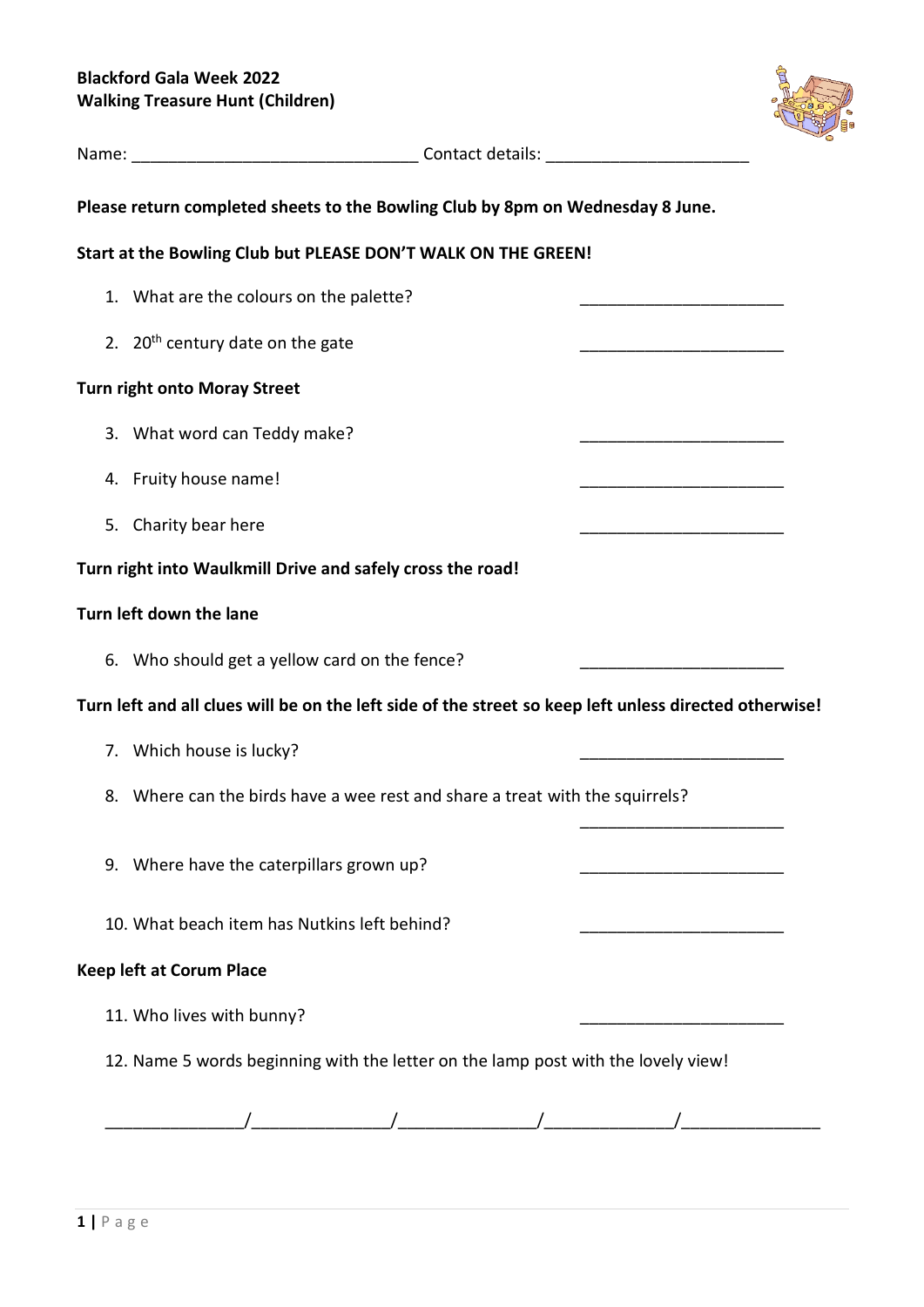

| Please return completed sheets to the Bowling Club by 8pm on Wednesday 8 June.<br>Start at the Bowling Club but PLEASE DON'T WALK ON THE GREEN!<br>1. What are the colours on the palette?<br>2. $20th$ century date on the gate<br><b>Turn right onto Moray Street</b><br>3. What word can Teddy make?<br>4. Fruity house name!<br>5. Charity bear here<br>Turn right into Waulkmill Drive and safely cross the road!<br>Turn left down the lane<br>6. Who should get a yellow card on the fence?<br>Turn left and all clues will be on the left side of the street so keep left unless directed otherwise!<br>7. Which house is lucky?<br>8. Where can the birds have a wee rest and share a treat with the squirrels?<br>9. Where have the caterpillars grown up?<br>10. What beach item has Nutkins left behind?<br><b>Keep left at Corum Place</b><br>11. Who lives with bunny?<br>12. Name 5 words beginning with the letter on the lamp post with the lovely view! |  |  |
|---------------------------------------------------------------------------------------------------------------------------------------------------------------------------------------------------------------------------------------------------------------------------------------------------------------------------------------------------------------------------------------------------------------------------------------------------------------------------------------------------------------------------------------------------------------------------------------------------------------------------------------------------------------------------------------------------------------------------------------------------------------------------------------------------------------------------------------------------------------------------------------------------------------------------------------------------------------------------|--|--|
|                                                                                                                                                                                                                                                                                                                                                                                                                                                                                                                                                                                                                                                                                                                                                                                                                                                                                                                                                                           |  |  |
|                                                                                                                                                                                                                                                                                                                                                                                                                                                                                                                                                                                                                                                                                                                                                                                                                                                                                                                                                                           |  |  |
|                                                                                                                                                                                                                                                                                                                                                                                                                                                                                                                                                                                                                                                                                                                                                                                                                                                                                                                                                                           |  |  |
|                                                                                                                                                                                                                                                                                                                                                                                                                                                                                                                                                                                                                                                                                                                                                                                                                                                                                                                                                                           |  |  |
|                                                                                                                                                                                                                                                                                                                                                                                                                                                                                                                                                                                                                                                                                                                                                                                                                                                                                                                                                                           |  |  |
|                                                                                                                                                                                                                                                                                                                                                                                                                                                                                                                                                                                                                                                                                                                                                                                                                                                                                                                                                                           |  |  |
|                                                                                                                                                                                                                                                                                                                                                                                                                                                                                                                                                                                                                                                                                                                                                                                                                                                                                                                                                                           |  |  |
|                                                                                                                                                                                                                                                                                                                                                                                                                                                                                                                                                                                                                                                                                                                                                                                                                                                                                                                                                                           |  |  |
|                                                                                                                                                                                                                                                                                                                                                                                                                                                                                                                                                                                                                                                                                                                                                                                                                                                                                                                                                                           |  |  |
|                                                                                                                                                                                                                                                                                                                                                                                                                                                                                                                                                                                                                                                                                                                                                                                                                                                                                                                                                                           |  |  |
|                                                                                                                                                                                                                                                                                                                                                                                                                                                                                                                                                                                                                                                                                                                                                                                                                                                                                                                                                                           |  |  |
|                                                                                                                                                                                                                                                                                                                                                                                                                                                                                                                                                                                                                                                                                                                                                                                                                                                                                                                                                                           |  |  |
|                                                                                                                                                                                                                                                                                                                                                                                                                                                                                                                                                                                                                                                                                                                                                                                                                                                                                                                                                                           |  |  |
|                                                                                                                                                                                                                                                                                                                                                                                                                                                                                                                                                                                                                                                                                                                                                                                                                                                                                                                                                                           |  |  |
|                                                                                                                                                                                                                                                                                                                                                                                                                                                                                                                                                                                                                                                                                                                                                                                                                                                                                                                                                                           |  |  |
|                                                                                                                                                                                                                                                                                                                                                                                                                                                                                                                                                                                                                                                                                                                                                                                                                                                                                                                                                                           |  |  |
|                                                                                                                                                                                                                                                                                                                                                                                                                                                                                                                                                                                                                                                                                                                                                                                                                                                                                                                                                                           |  |  |
|                                                                                                                                                                                                                                                                                                                                                                                                                                                                                                                                                                                                                                                                                                                                                                                                                                                                                                                                                                           |  |  |
|                                                                                                                                                                                                                                                                                                                                                                                                                                                                                                                                                                                                                                                                                                                                                                                                                                                                                                                                                                           |  |  |
|                                                                                                                                                                                                                                                                                                                                                                                                                                                                                                                                                                                                                                                                                                                                                                                                                                                                                                                                                                           |  |  |
|                                                                                                                                                                                                                                                                                                                                                                                                                                                                                                                                                                                                                                                                                                                                                                                                                                                                                                                                                                           |  |  |